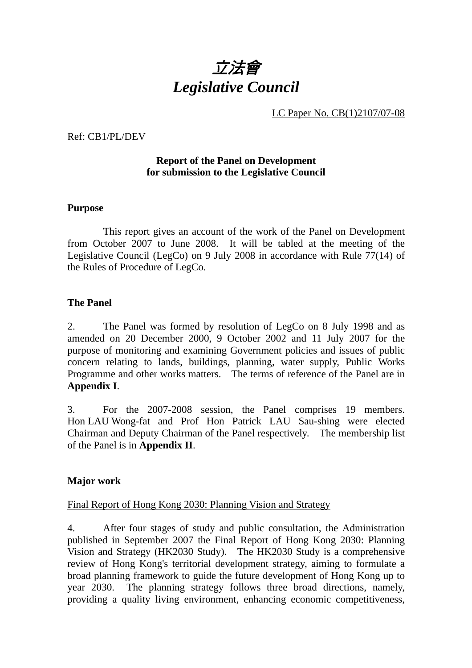

LC Paper No. CB(1)2107/07-08

Ref: CB1/PL/DEV

### **Report of the Panel on Development for submission to the Legislative Council**

#### **Purpose**

 This report gives an account of the work of the Panel on Development from October 2007 to June 2008. It will be tabled at the meeting of the Legislative Council (LegCo) on 9 July 2008 in accordance with Rule 77(14) of the Rules of Procedure of LegCo.

#### **The Panel**

2. The Panel was formed by resolution of LegCo on 8 July 1998 and as amended on 20 December 2000, 9 October 2002 and 11 July 2007 for the purpose of monitoring and examining Government policies and issues of public concern relating to lands, buildings, planning, water supply, Public Works Programme and other works matters. The terms of reference of the Panel are in **Appendix I**.

3. For the 2007-2008 session, the Panel comprises 19 members. Hon LAU Wong-fat and Prof Hon Patrick LAU Sau-shing were elected Chairman and Deputy Chairman of the Panel respectively. The membership list of the Panel is in **Appendix II**.

#### **Major work**

#### Final Report of Hong Kong 2030: Planning Vision and Strategy

4. After four stages of study and public consultation, the Administration published in September 2007 the Final Report of Hong Kong 2030: Planning Vision and Strategy (HK2030 Study). The HK2030 Study is a comprehensive review of Hong Kong's territorial development strategy, aiming to formulate a broad planning framework to guide the future development of Hong Kong up to year 2030. The planning strategy follows three broad directions, namely, providing a quality living environment, enhancing economic competitiveness,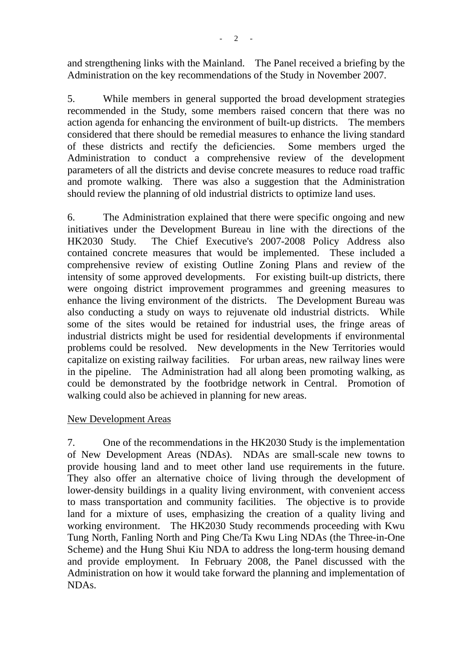and strengthening links with the Mainland. The Panel received a briefing by the Administration on the key recommendations of the Study in November 2007.

5. While members in general supported the broad development strategies recommended in the Study, some members raised concern that there was no action agenda for enhancing the environment of built-up districts. The members considered that there should be remedial measures to enhance the living standard of these districts and rectify the deficiencies. Some members urged the Administration to conduct a comprehensive review of the development parameters of all the districts and devise concrete measures to reduce road traffic and promote walking. There was also a suggestion that the Administration should review the planning of old industrial districts to optimize land uses.

6. The Administration explained that there were specific ongoing and new initiatives under the Development Bureau in line with the directions of the HK2030 Study. The Chief Executive's 2007-2008 Policy Address also contained concrete measures that would be implemented. These included a comprehensive review of existing Outline Zoning Plans and review of the intensity of some approved developments. For existing built-up districts, there were ongoing district improvement programmes and greening measures to enhance the living environment of the districts. The Development Bureau was also conducting a study on ways to rejuvenate old industrial districts. While some of the sites would be retained for industrial uses, the fringe areas of industrial districts might be used for residential developments if environmental problems could be resolved. New developments in the New Territories would capitalize on existing railway facilities. For urban areas, new railway lines were in the pipeline. The Administration had all along been promoting walking, as could be demonstrated by the footbridge network in Central. Promotion of walking could also be achieved in planning for new areas.

## New Development Areas

7. One of the recommendations in the HK2030 Study is the implementation of New Development Areas (NDAs). NDAs are small-scale new towns to provide housing land and to meet other land use requirements in the future. They also offer an alternative choice of living through the development of lower-density buildings in a quality living environment, with convenient access to mass transportation and community facilities. The objective is to provide land for a mixture of uses, emphasizing the creation of a quality living and working environment. The HK2030 Study recommends proceeding with Kwu Tung North, Fanling North and Ping Che/Ta Kwu Ling NDAs (the Three-in-One Scheme) and the Hung Shui Kiu NDA to address the long-term housing demand and provide employment. In February 2008, the Panel discussed with the Administration on how it would take forward the planning and implementation of NDAs.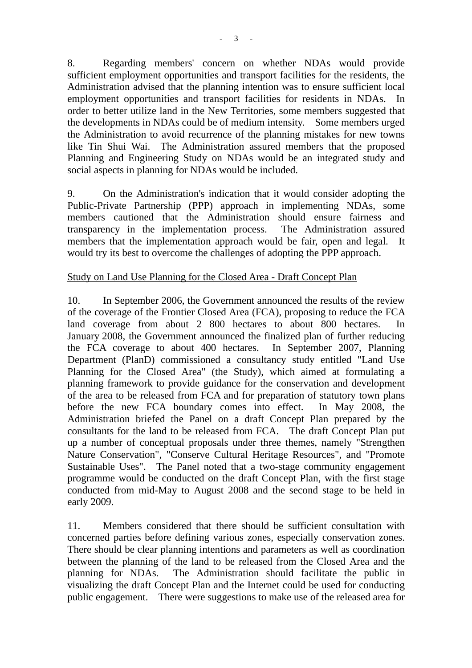8. Regarding members' concern on whether NDAs would provide sufficient employment opportunities and transport facilities for the residents, the Administration advised that the planning intention was to ensure sufficient local employment opportunities and transport facilities for residents in NDAs. In order to better utilize land in the New Territories, some members suggested that the developments in NDAs could be of medium intensity. Some members urged the Administration to avoid recurrence of the planning mistakes for new towns like Tin Shui Wai. The Administration assured members that the proposed Planning and Engineering Study on NDAs would be an integrated study and social aspects in planning for NDAs would be included.

9. On the Administration's indication that it would consider adopting the Public-Private Partnership (PPP) approach in implementing NDAs, some members cautioned that the Administration should ensure fairness and transparency in the implementation process. The Administration assured members that the implementation approach would be fair, open and legal. It would try its best to overcome the challenges of adopting the PPP approach.

### Study on Land Use Planning for the Closed Area - Draft Concept Plan

10. In September 2006, the Government announced the results of the review of the coverage of the Frontier Closed Area (FCA), proposing to reduce the FCA land coverage from about 2 800 hectares to about 800 hectares. In January 2008, the Government announced the finalized plan of further reducing the FCA coverage to about 400 hectares. In September 2007, Planning Department (PlanD) commissioned a consultancy study entitled "Land Use Planning for the Closed Area" (the Study), which aimed at formulating a planning framework to provide guidance for the conservation and development of the area to be released from FCA and for preparation of statutory town plans before the new FCA boundary comes into effect. In May 2008, the Administration briefed the Panel on a draft Concept Plan prepared by the consultants for the land to be released from FCA. The draft Concept Plan put up a number of conceptual proposals under three themes, namely "Strengthen Nature Conservation", "Conserve Cultural Heritage Resources", and "Promote Sustainable Uses". The Panel noted that a two-stage community engagement programme would be conducted on the draft Concept Plan, with the first stage conducted from mid-May to August 2008 and the second stage to be held in early 2009.

11. Members considered that there should be sufficient consultation with concerned parties before defining various zones, especially conservation zones. There should be clear planning intentions and parameters as well as coordination between the planning of the land to be released from the Closed Area and the planning for NDAs. The Administration should facilitate the public in visualizing the draft Concept Plan and the Internet could be used for conducting public engagement. There were suggestions to make use of the released area for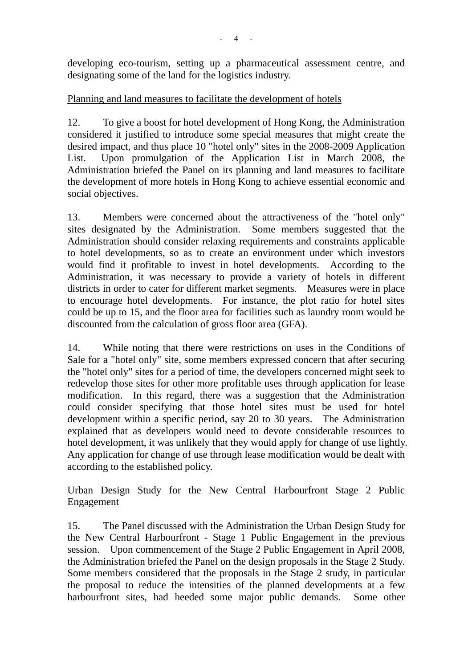developing eco-tourism, setting up a pharmaceutical assessment centre, and designating some of the land for the logistics industry.

## Planning and land measures to facilitate the development of hotels

12. To give a boost for hotel development of Hong Kong, the Administration considered it justified to introduce some special measures that might create the desired impact, and thus place 10 "hotel only" sites in the 2008-2009 Application List. Upon promulgation of the Application List in March 2008, the Administration briefed the Panel on its planning and land measures to facilitate the development of more hotels in Hong Kong to achieve essential economic and social objectives.

13. Members were concerned about the attractiveness of the "hotel only" sites designated by the Administration. Some members suggested that the Administration should consider relaxing requirements and constraints applicable to hotel developments, so as to create an environment under which investors would find it profitable to invest in hotel developments. According to the Administration, it was necessary to provide a variety of hotels in different districts in order to cater for different market segments. Measures were in place to encourage hotel developments. For instance, the plot ratio for hotel sites could be up to 15, and the floor area for facilities such as laundry room would be discounted from the calculation of gross floor area (GFA).

14. While noting that there were restrictions on uses in the Conditions of Sale for a "hotel only" site, some members expressed concern that after securing the "hotel only" sites for a period of time, the developers concerned might seek to redevelop those sites for other more profitable uses through application for lease modification. In this regard, there was a suggestion that the Administration could consider specifying that those hotel sites must be used for hotel development within a specific period, say 20 to 30 years. The Administration explained that as developers would need to devote considerable resources to hotel development, it was unlikely that they would apply for change of use lightly. Any application for change of use through lease modification would be dealt with according to the established policy.

## Urban Design Study for the New Central Harbourfront Stage 2 Public Engagement

15. The Panel discussed with the Administration the Urban Design Study for the New Central Harbourfront - Stage 1 Public Engagement in the previous session. Upon commencement of the Stage 2 Public Engagement in April 2008, the Administration briefed the Panel on the design proposals in the Stage 2 Study. Some members considered that the proposals in the Stage 2 study, in particular the proposal to reduce the intensities of the planned developments at a few harbourfront sites, had heeded some major public demands. Some other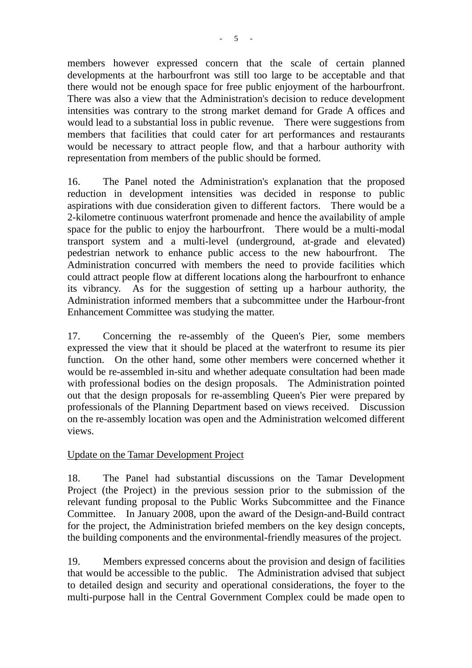members however expressed concern that the scale of certain planned developments at the harbourfront was still too large to be acceptable and that there would not be enough space for free public enjoyment of the harbourfront. There was also a view that the Administration's decision to reduce development intensities was contrary to the strong market demand for Grade A offices and would lead to a substantial loss in public revenue. There were suggestions from members that facilities that could cater for art performances and restaurants would be necessary to attract people flow, and that a harbour authority with representation from members of the public should be formed.

16. The Panel noted the Administration's explanation that the proposed reduction in development intensities was decided in response to public aspirations with due consideration given to different factors. There would be a 2-kilometre continuous waterfront promenade and hence the availability of ample space for the public to enjoy the harbourfront. There would be a multi-modal transport system and a multi-level (underground, at-grade and elevated) pedestrian network to enhance public access to the new habourfront. The Administration concurred with members the need to provide facilities which could attract people flow at different locations along the harbourfront to enhance its vibrancy. As for the suggestion of setting up a harbour authority, the Administration informed members that a subcommittee under the Harbour-front Enhancement Committee was studying the matter.

17. Concerning the re-assembly of the Queen's Pier, some members expressed the view that it should be placed at the waterfront to resume its pier function. On the other hand, some other members were concerned whether it would be re-assembled in-situ and whether adequate consultation had been made with professional bodies on the design proposals. The Administration pointed out that the design proposals for re-assembling Queen's Pier were prepared by professionals of the Planning Department based on views received. Discussion on the re-assembly location was open and the Administration welcomed different views.

## Update on the Tamar Development Project

18. The Panel had substantial discussions on the Tamar Development Project (the Project) in the previous session prior to the submission of the relevant funding proposal to the Public Works Subcommittee and the Finance Committee. In January 2008, upon the award of the Design-and-Build contract for the project, the Administration briefed members on the key design concepts, the building components and the environmental-friendly measures of the project.

19. Members expressed concerns about the provision and design of facilities that would be accessible to the public. The Administration advised that subject to detailed design and security and operational considerations, the foyer to the multi-purpose hall in the Central Government Complex could be made open to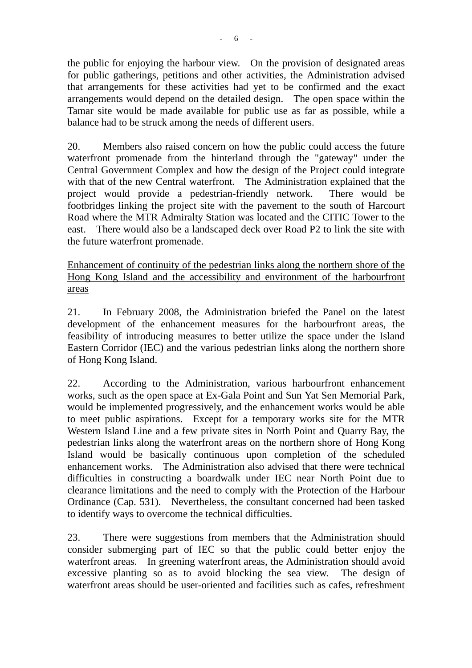the public for enjoying the harbour view. On the provision of designated areas for public gatherings, petitions and other activities, the Administration advised that arrangements for these activities had yet to be confirmed and the exact arrangements would depend on the detailed design. The open space within the Tamar site would be made available for public use as far as possible, while a balance had to be struck among the needs of different users.

20. Members also raised concern on how the public could access the future waterfront promenade from the hinterland through the "gateway" under the Central Government Complex and how the design of the Project could integrate with that of the new Central waterfront. The Administration explained that the project would provide a pedestrian-friendly network. There would be footbridges linking the project site with the pavement to the south of Harcourt Road where the MTR Admiralty Station was located and the CITIC Tower to the east. There would also be a landscaped deck over Road P2 to link the site with the future waterfront promenade.

Enhancement of continuity of the pedestrian links along the northern shore of the Hong Kong Island and the accessibility and environment of the harbourfront areas

21. In February 2008, the Administration briefed the Panel on the latest development of the enhancement measures for the harbourfront areas, the feasibility of introducing measures to better utilize the space under the Island Eastern Corridor (IEC) and the various pedestrian links along the northern shore of Hong Kong Island.

22. According to the Administration, various harbourfront enhancement works, such as the open space at Ex-Gala Point and Sun Yat Sen Memorial Park, would be implemented progressively, and the enhancement works would be able to meet public aspirations. Except for a temporary works site for the MTR Western Island Line and a few private sites in North Point and Quarry Bay, the pedestrian links along the waterfront areas on the northern shore of Hong Kong Island would be basically continuous upon completion of the scheduled enhancement works. The Administration also advised that there were technical difficulties in constructing a boardwalk under IEC near North Point due to clearance limitations and the need to comply with the Protection of the Harbour Ordinance (Cap. 531). Nevertheless, the consultant concerned had been tasked to identify ways to overcome the technical difficulties.

23. There were suggestions from members that the Administration should consider submerging part of IEC so that the public could better enjoy the waterfront areas. In greening waterfront areas, the Administration should avoid excessive planting so as to avoid blocking the sea view. The design of waterfront areas should be user-oriented and facilities such as cafes, refreshment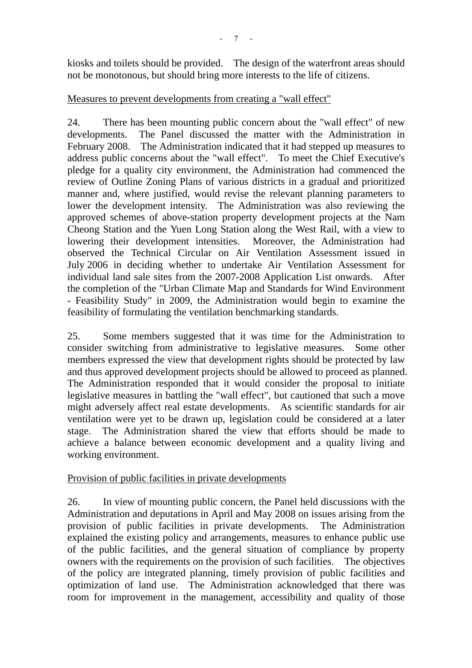kiosks and toilets should be provided. The design of the waterfront areas should not be monotonous, but should bring more interests to the life of citizens.

## Measures to prevent developments from creating a "wall effect"

24. There has been mounting public concern about the "wall effect" of new developments. The Panel discussed the matter with the Administration in February 2008. The Administration indicated that it had stepped up measures to address public concerns about the "wall effect". To meet the Chief Executive's pledge for a quality city environment, the Administration had commenced the review of Outline Zoning Plans of various districts in a gradual and prioritized manner and, where justified, would revise the relevant planning parameters to lower the development intensity. The Administration was also reviewing the approved schemes of above-station property development projects at the Nam Cheong Station and the Yuen Long Station along the West Rail, with a view to lowering their development intensities. Moreover, the Administration had observed the Technical Circular on Air Ventilation Assessment issued in July 2006 in deciding whether to undertake Air Ventilation Assessment for individual land sale sites from the 2007-2008 Application List onwards. After the completion of the "Urban Climate Map and Standards for Wind Environment - Feasibility Study" in 2009, the Administration would begin to examine the feasibility of formulating the ventilation benchmarking standards.

25. Some members suggested that it was time for the Administration to consider switching from administrative to legislative measures. Some other members expressed the view that development rights should be protected by law and thus approved development projects should be allowed to proceed as planned. The Administration responded that it would consider the proposal to initiate legislative measures in battling the "wall effect", but cautioned that such a move might adversely affect real estate developments. As scientific standards for air ventilation were yet to be drawn up, legislation could be considered at a later stage. The Administration shared the view that efforts should be made to achieve a balance between economic development and a quality living and working environment.

## Provision of public facilities in private developments

26. In view of mounting public concern, the Panel held discussions with the Administration and deputations in April and May 2008 on issues arising from the provision of public facilities in private developments. The Administration explained the existing policy and arrangements, measures to enhance public use of the public facilities, and the general situation of compliance by property owners with the requirements on the provision of such facilities. The objectives of the policy are integrated planning, timely provision of public facilities and optimization of land use. The Administration acknowledged that there was room for improvement in the management, accessibility and quality of those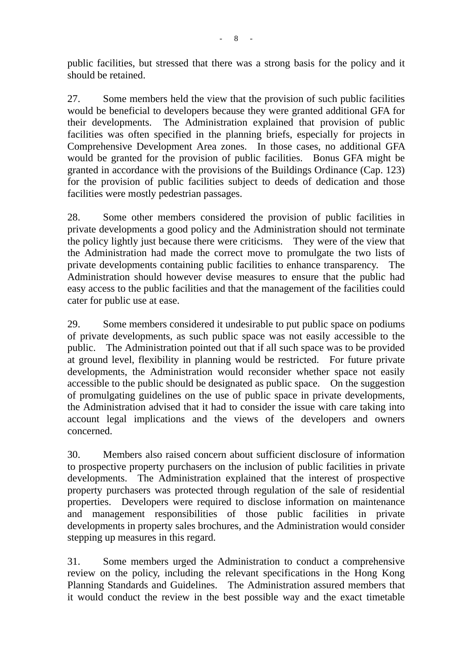public facilities, but stressed that there was a strong basis for the policy and it should be retained.

27. Some members held the view that the provision of such public facilities would be beneficial to developers because they were granted additional GFA for their developments. The Administration explained that provision of public facilities was often specified in the planning briefs, especially for projects in Comprehensive Development Area zones. In those cases, no additional GFA would be granted for the provision of public facilities. Bonus GFA might be granted in accordance with the provisions of the Buildings Ordinance (Cap. 123) for the provision of public facilities subject to deeds of dedication and those facilities were mostly pedestrian passages.

28. Some other members considered the provision of public facilities in private developments a good policy and the Administration should not terminate the policy lightly just because there were criticisms. They were of the view that the Administration had made the correct move to promulgate the two lists of private developments containing public facilities to enhance transparency. The Administration should however devise measures to ensure that the public had easy access to the public facilities and that the management of the facilities could cater for public use at ease.

29. Some members considered it undesirable to put public space on podiums of private developments, as such public space was not easily accessible to the public. The Administration pointed out that if all such space was to be provided at ground level, flexibility in planning would be restricted. For future private developments, the Administration would reconsider whether space not easily accessible to the public should be designated as public space. On the suggestion of promulgating guidelines on the use of public space in private developments, the Administration advised that it had to consider the issue with care taking into account legal implications and the views of the developers and owners concerned.

30. Members also raised concern about sufficient disclosure of information to prospective property purchasers on the inclusion of public facilities in private developments. The Administration explained that the interest of prospective property purchasers was protected through regulation of the sale of residential properties. Developers were required to disclose information on maintenance and management responsibilities of those public facilities in private developments in property sales brochures, and the Administration would consider stepping up measures in this regard.

31. Some members urged the Administration to conduct a comprehensive review on the policy, including the relevant specifications in the Hong Kong Planning Standards and Guidelines. The Administration assured members that it would conduct the review in the best possible way and the exact timetable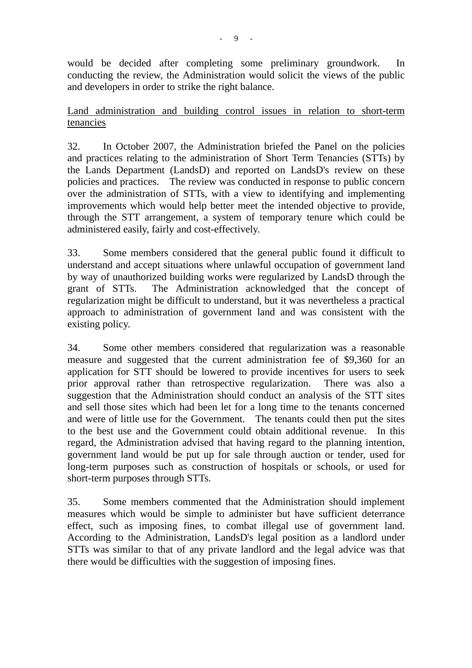would be decided after completing some preliminary groundwork. In conducting the review, the Administration would solicit the views of the public and developers in order to strike the right balance.

## Land administration and building control issues in relation to short-term tenancies

32. In October 2007, the Administration briefed the Panel on the policies and practices relating to the administration of Short Term Tenancies (STTs) by the Lands Department (LandsD) and reported on LandsD's review on these policies and practices. The review was conducted in response to public concern over the administration of STTs, with a view to identifying and implementing improvements which would help better meet the intended objective to provide, through the STT arrangement, a system of temporary tenure which could be administered easily, fairly and cost-effectively.

33. Some members considered that the general public found it difficult to understand and accept situations where unlawful occupation of government land by way of unauthorized building works were regularized by LandsD through the grant of STTs. The Administration acknowledged that the concept of regularization might be difficult to understand, but it was nevertheless a practical approach to administration of government land and was consistent with the existing policy.

34. Some other members considered that regularization was a reasonable measure and suggested that the current administration fee of \$9,360 for an application for STT should be lowered to provide incentives for users to seek prior approval rather than retrospective regularization. There was also a suggestion that the Administration should conduct an analysis of the STT sites and sell those sites which had been let for a long time to the tenants concerned and were of little use for the Government. The tenants could then put the sites to the best use and the Government could obtain additional revenue. In this regard, the Administration advised that having regard to the planning intention, government land would be put up for sale through auction or tender, used for long-term purposes such as construction of hospitals or schools, or used for short-term purposes through STTs.

35. Some members commented that the Administration should implement measures which would be simple to administer but have sufficient deterrance effect, such as imposing fines, to combat illegal use of government land. According to the Administration, LandsD's legal position as a landlord under STTs was similar to that of any private landlord and the legal advice was that there would be difficulties with the suggestion of imposing fines.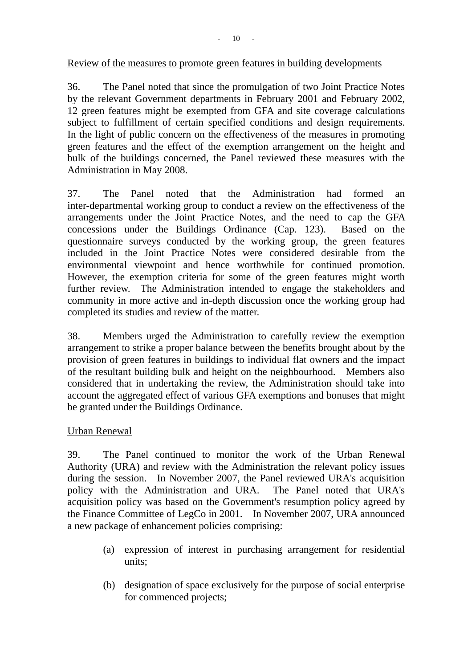#### Review of the measures to promote green features in building developments

36. The Panel noted that since the promulgation of two Joint Practice Notes by the relevant Government departments in February 2001 and February 2002, 12 green features might be exempted from GFA and site coverage calculations subject to fulfillment of certain specified conditions and design requirements. In the light of public concern on the effectiveness of the measures in promoting green features and the effect of the exemption arrangement on the height and bulk of the buildings concerned, the Panel reviewed these measures with the Administration in May 2008.

37. The Panel noted that the Administration had formed an inter-departmental working group to conduct a review on the effectiveness of the arrangements under the Joint Practice Notes, and the need to cap the GFA concessions under the Buildings Ordinance (Cap. 123). Based on the questionnaire surveys conducted by the working group, the green features included in the Joint Practice Notes were considered desirable from the environmental viewpoint and hence worthwhile for continued promotion. However, the exemption criteria for some of the green features might worth further review. The Administration intended to engage the stakeholders and community in more active and in-depth discussion once the working group had completed its studies and review of the matter.

38. Members urged the Administration to carefully review the exemption arrangement to strike a proper balance between the benefits brought about by the provision of green features in buildings to individual flat owners and the impact of the resultant building bulk and height on the neighbourhood. Members also considered that in undertaking the review, the Administration should take into account the aggregated effect of various GFA exemptions and bonuses that might be granted under the Buildings Ordinance.

## Urban Renewal

39. The Panel continued to monitor the work of the Urban Renewal Authority (URA) and review with the Administration the relevant policy issues during the session. In November 2007, the Panel reviewed URA's acquisition policy with the Administration and URA. The Panel noted that URA's acquisition policy was based on the Government's resumption policy agreed by the Finance Committee of LegCo in 2001. In November 2007, URA announced a new package of enhancement policies comprising:

- (a) expression of interest in purchasing arrangement for residential units;
- (b) designation of space exclusively for the purpose of social enterprise for commenced projects;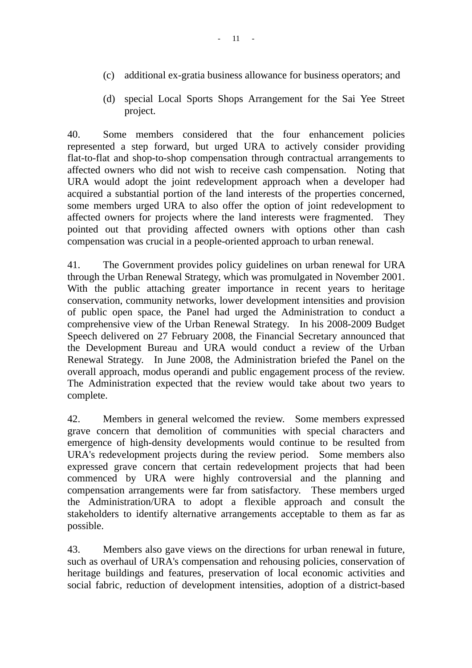- (c) additional ex-gratia business allowance for business operators; and
- (d) special Local Sports Shops Arrangement for the Sai Yee Street project.

40. Some members considered that the four enhancement policies represented a step forward, but urged URA to actively consider providing flat-to-flat and shop-to-shop compensation through contractual arrangements to affected owners who did not wish to receive cash compensation. Noting that URA would adopt the joint redevelopment approach when a developer had acquired a substantial portion of the land interests of the properties concerned, some members urged URA to also offer the option of joint redevelopment to affected owners for projects where the land interests were fragmented. They pointed out that providing affected owners with options other than cash compensation was crucial in a people-oriented approach to urban renewal.

41. The Government provides policy guidelines on urban renewal for URA through the Urban Renewal Strategy, which was promulgated in November 2001. With the public attaching greater importance in recent years to heritage conservation, community networks, lower development intensities and provision of public open space, the Panel had urged the Administration to conduct a comprehensive view of the Urban Renewal Strategy. In his 2008-2009 Budget Speech delivered on 27 February 2008, the Financial Secretary announced that the Development Bureau and URA would conduct a review of the Urban Renewal Strategy. In June 2008, the Administration briefed the Panel on the overall approach, modus operandi and public engagement process of the review. The Administration expected that the review would take about two years to complete.

42. Members in general welcomed the review. Some members expressed grave concern that demolition of communities with special characters and emergence of high-density developments would continue to be resulted from URA's redevelopment projects during the review period. Some members also expressed grave concern that certain redevelopment projects that had been commenced by URA were highly controversial and the planning and compensation arrangements were far from satisfactory. These members urged the Administration/URA to adopt a flexible approach and consult the stakeholders to identify alternative arrangements acceptable to them as far as possible.

43. Members also gave views on the directions for urban renewal in future, such as overhaul of URA's compensation and rehousing policies, conservation of heritage buildings and features, preservation of local economic activities and social fabric, reduction of development intensities, adoption of a district-based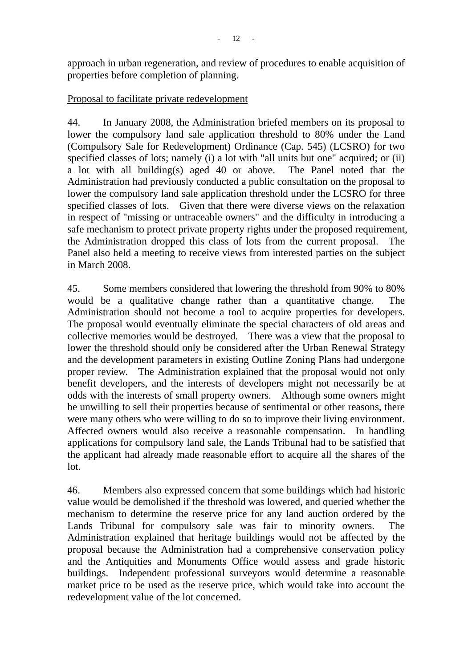approach in urban regeneration, and review of procedures to enable acquisition of properties before completion of planning.

## Proposal to facilitate private redevelopment

44. In January 2008, the Administration briefed members on its proposal to lower the compulsory land sale application threshold to 80% under the Land (Compulsory Sale for Redevelopment) Ordinance (Cap. 545) (LCSRO) for two specified classes of lots; namely (i) a lot with "all units but one" acquired; or (ii) a lot with all building(s) aged 40 or above. The Panel noted that the Administration had previously conducted a public consultation on the proposal to lower the compulsory land sale application threshold under the LCSRO for three specified classes of lots. Given that there were diverse views on the relaxation in respect of "missing or untraceable owners" and the difficulty in introducing a safe mechanism to protect private property rights under the proposed requirement, the Administration dropped this class of lots from the current proposal. The Panel also held a meeting to receive views from interested parties on the subject in March 2008.

45. Some members considered that lowering the threshold from 90% to 80% would be a qualitative change rather than a quantitative change. The Administration should not become a tool to acquire properties for developers. The proposal would eventually eliminate the special characters of old areas and collective memories would be destroyed. There was a view that the proposal to lower the threshold should only be considered after the Urban Renewal Strategy and the development parameters in existing Outline Zoning Plans had undergone proper review. The Administration explained that the proposal would not only benefit developers, and the interests of developers might not necessarily be at odds with the interests of small property owners. Although some owners might be unwilling to sell their properties because of sentimental or other reasons, there were many others who were willing to do so to improve their living environment. Affected owners would also receive a reasonable compensation. In handling applications for compulsory land sale, the Lands Tribunal had to be satisfied that the applicant had already made reasonable effort to acquire all the shares of the lot.

46. Members also expressed concern that some buildings which had historic value would be demolished if the threshold was lowered, and queried whether the mechanism to determine the reserve price for any land auction ordered by the Lands Tribunal for compulsory sale was fair to minority owners. The Administration explained that heritage buildings would not be affected by the proposal because the Administration had a comprehensive conservation policy and the Antiquities and Monuments Office would assess and grade historic buildings. Independent professional surveyors would determine a reasonable market price to be used as the reserve price, which would take into account the redevelopment value of the lot concerned.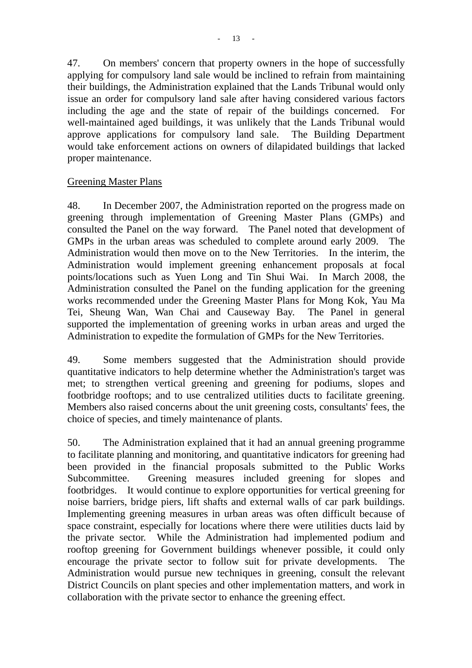47. On members' concern that property owners in the hope of successfully applying for compulsory land sale would be inclined to refrain from maintaining their buildings, the Administration explained that the Lands Tribunal would only issue an order for compulsory land sale after having considered various factors including the age and the state of repair of the buildings concerned. For well-maintained aged buildings, it was unlikely that the Lands Tribunal would approve applications for compulsory land sale. The Building Department would take enforcement actions on owners of dilapidated buildings that lacked proper maintenance.

### Greening Master Plans

48. In December 2007, the Administration reported on the progress made on greening through implementation of Greening Master Plans (GMPs) and consulted the Panel on the way forward. The Panel noted that development of GMPs in the urban areas was scheduled to complete around early 2009. The Administration would then move on to the New Territories. In the interim, the Administration would implement greening enhancement proposals at focal points/locations such as Yuen Long and Tin Shui Wai. In March 2008, the Administration consulted the Panel on the funding application for the greening works recommended under the Greening Master Plans for Mong Kok, Yau Ma Tei, Sheung Wan, Wan Chai and Causeway Bay. The Panel in general supported the implementation of greening works in urban areas and urged the Administration to expedite the formulation of GMPs for the New Territories.

49. Some members suggested that the Administration should provide quantitative indicators to help determine whether the Administration's target was met; to strengthen vertical greening and greening for podiums, slopes and footbridge rooftops; and to use centralized utilities ducts to facilitate greening. Members also raised concerns about the unit greening costs, consultants' fees, the choice of species, and timely maintenance of plants.

50. The Administration explained that it had an annual greening programme to facilitate planning and monitoring, and quantitative indicators for greening had been provided in the financial proposals submitted to the Public Works Subcommittee. Greening measures included greening for slopes and footbridges. It would continue to explore opportunities for vertical greening for noise barriers, bridge piers, lift shafts and external walls of car park buildings. Implementing greening measures in urban areas was often difficult because of space constraint, especially for locations where there were utilities ducts laid by the private sector. While the Administration had implemented podium and rooftop greening for Government buildings whenever possible, it could only encourage the private sector to follow suit for private developments. The Administration would pursue new techniques in greening, consult the relevant District Councils on plant species and other implementation matters, and work in collaboration with the private sector to enhance the greening effect.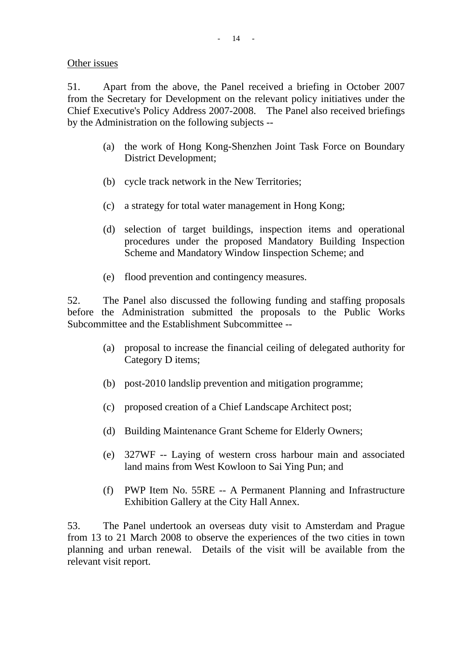Other issues

51. Apart from the above, the Panel received a briefing in October 2007 from the Secretary for Development on the relevant policy initiatives under the Chief Executive's Policy Address 2007-2008. The Panel also received briefings by the Administration on the following subjects --

- (a) the work of Hong Kong-Shenzhen Joint Task Force on Boundary District Development;
- (b) cycle track network in the New Territories;
- (c) a strategy for total water management in Hong Kong;
- (d) selection of target buildings, inspection items and operational procedures under the proposed Mandatory Building Inspection Scheme and Mandatory Window Iinspection Scheme; and
- (e) flood prevention and contingency measures.

52. The Panel also discussed the following funding and staffing proposals before the Administration submitted the proposals to the Public Works Subcommittee and the Establishment Subcommittee --

- (a) proposal to increase the financial ceiling of delegated authority for Category D items;
- (b) post-2010 landslip prevention and mitigation programme;
- (c) proposed creation of a Chief Landscape Architect post;
- (d) Building Maintenance Grant Scheme for Elderly Owners;
- (e) 327WF -- Laying of western cross harbour main and associated land mains from West Kowloon to Sai Ying Pun; and
- (f) PWP Item No. 55RE -- A Permanent Planning and Infrastructure Exhibition Gallery at the City Hall Annex.

53. The Panel undertook an overseas duty visit to Amsterdam and Prague from 13 to 21 March 2008 to observe the experiences of the two cities in town planning and urban renewal. Details of the visit will be available from the relevant visit report.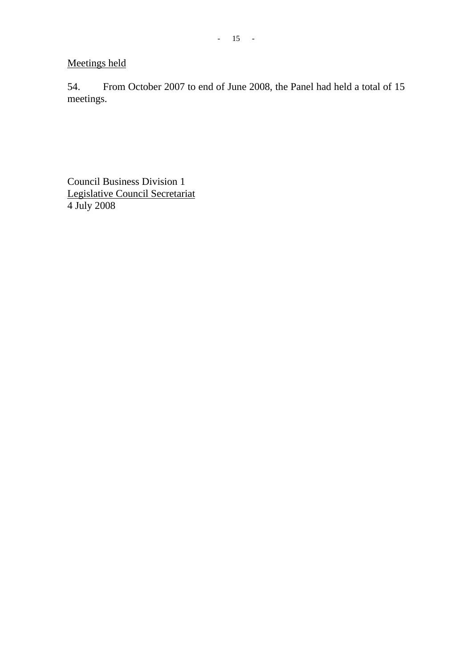Meetings held

54. From October 2007 to end of June 2008, the Panel had held a total of 15 meetings.

Council Business Division 1 Legislative Council Secretariat 4 July 2008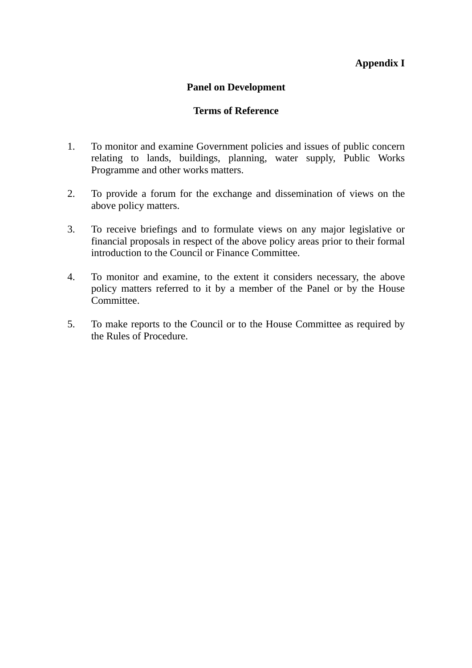### **Appendix I**

### **Panel on Development**

### **Terms of Reference**

- 1. To monitor and examine Government policies and issues of public concern relating to lands, buildings, planning, water supply, Public Works Programme and other works matters.
- 2. To provide a forum for the exchange and dissemination of views on the above policy matters.
- 3. To receive briefings and to formulate views on any major legislative or financial proposals in respect of the above policy areas prior to their formal introduction to the Council or Finance Committee.
- 4. To monitor and examine, to the extent it considers necessary, the above policy matters referred to it by a member of the Panel or by the House Committee.
- 5. To make reports to the Council or to the House Committee as required by the Rules of Procedure.